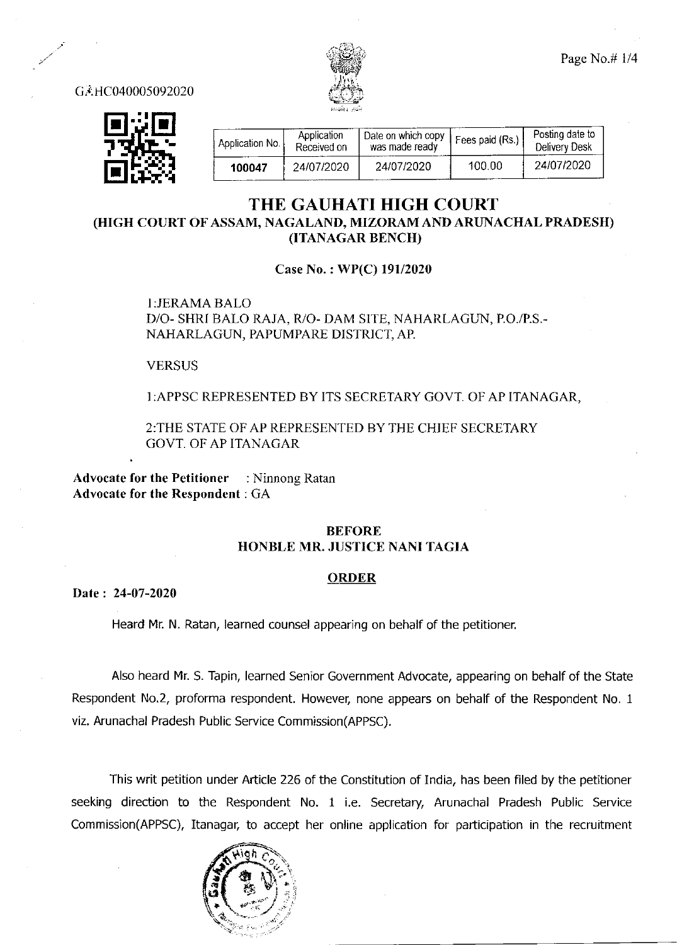

Page No.# 1/4

G<sub>A</sub>HC040005092020



| Application No. | Application<br>Received on | Date on which copy<br>was made ready | Fees paid (Rs.) | Posting date to<br>Delivery Desk |
|-----------------|----------------------------|--------------------------------------|-----------------|----------------------------------|
| 100047          | 24/07/2020                 | 24/07/2020                           | 100.00          | 24/07/2020                       |

## THE GAUHATI HIGH COURT (HIGH COURT OF ASSAM, NAGALAND, MIZORAM AND ARUNACHAL PRADESH) (ITANAGAR BENCH)

Case No.: WP(C) 191/2020

1:JERAMABALO D/O- SHRI BALO RAJA, R/O- DAM SITE, NAHARLAGUN, P.O./P.S.-NAHARLAGUN, PAPUMPARE DISTRICT, AP

VERSUS

I:APPSC REPRESENTED BY ITS SECRETARY GOVT. OF AP ITANAGAR,

2:THE STATE OF AP REPRESENTED BY THE CHIEF SECRETARY GOVT. OF AP ITANAGAR

Advocate for the Petitioner : Ninnong Ratan Advocate for the Respondent GA

## BEFORE HONBLE MR. JUSTICE NANI TAGIA

## **ORDER**

Date: 24-07-2020

Heard Mr. N. Ratan, learned counsel appearing on behalf of the petitioner.

Also heard Mr. S. Tapin, learned Senior Government Advocate, appearing on behalf of the State Respondent No.2, proforma respondent. However, none appears on behalf of the Respondent No. <sup>1</sup> viz. Arunachal Pradesh Public Service Commission(APPSC).

This writ petition under Article 226 of the Constitution of India, has been filed by the petitioner seeking direction to the Respondent No. 1 i.e. Secretary, Arunachal Pradesh Public Service Commission(APPSC), Itanagar, to accept her online application for participation in the recruitment

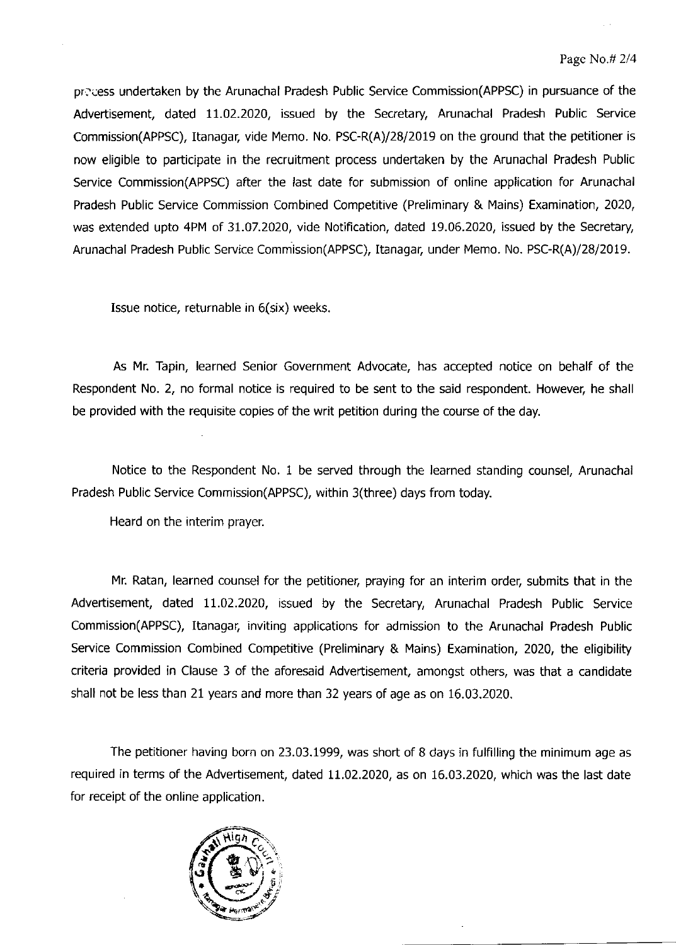precess undertaken by the Arunachal Pradesh Public Service Commission(APPSC) in pursuance of the Advertisement, dated 11.02.2020, issued by the Secretary, Arunachal Pradesh Public Service Commission(APPSC), Itanagar, vide Memo. No. PSC-R(A)/2812OI9 on the ground that the petitioner is now eligible to participate in the recruitment process undertaken by the Arunachal Pradesh Public Service Commission(APPsc) after the last date for submission of online application for Arunachal Pradesh Public Service Commission Combined Competitive (Preliminary & Mains) Examination, 2020, was extended upto 4PM of 31.07.202O, vide Notification, dated 19.06.2020, issued by the Secretary Arunachal Pradesh Public Service Commission(APPSC), Itanagar, under Memo. No. PSC-R(A)/28/2019.

Issue notice, returnable in 6(six) weeks.

As Mr. Tapin, learned Senior Government Advocate, has accepted notice on behalf of the Respondent No. 2, no formal notice is required to be sent to the said respondent. However, he shall be provided with the requisite copies of the writ petition during the course of the day.

Notice to the Respondent No. 1 be served through the learned standing counsel, Arunachal Pradesh Public Service Commission(APPsc), within 3(three) days from today.

Heard on the interim prayer.

Mr. Ratan, learned counsel for the petitioner, praying for an interim order, submits that in the Advertisement, dated 11.02.2020, issued by the Secretary, Arunachal Pradesh Public Service Commission(APPSC), Itanagar. inviting applications for admission to the Arunachal Pradesh Public Service Commission Combined Competitive (Preliminary & Mains) Examination, 2020, the eligibility criteria provided in Clause 3 of the aforesaid Advertisement. amongst others, was that a candidate shall not be less than 21 years and more than 32 years of age as on 16.03.2020.

The petitioner having born on 23.03.1999, was short of 8 days in fulfilling the minimum age as required in terms of the Advertisement, dated 11.02.2020, as on 16.03.2020, which was the last date for receipt of the online application.

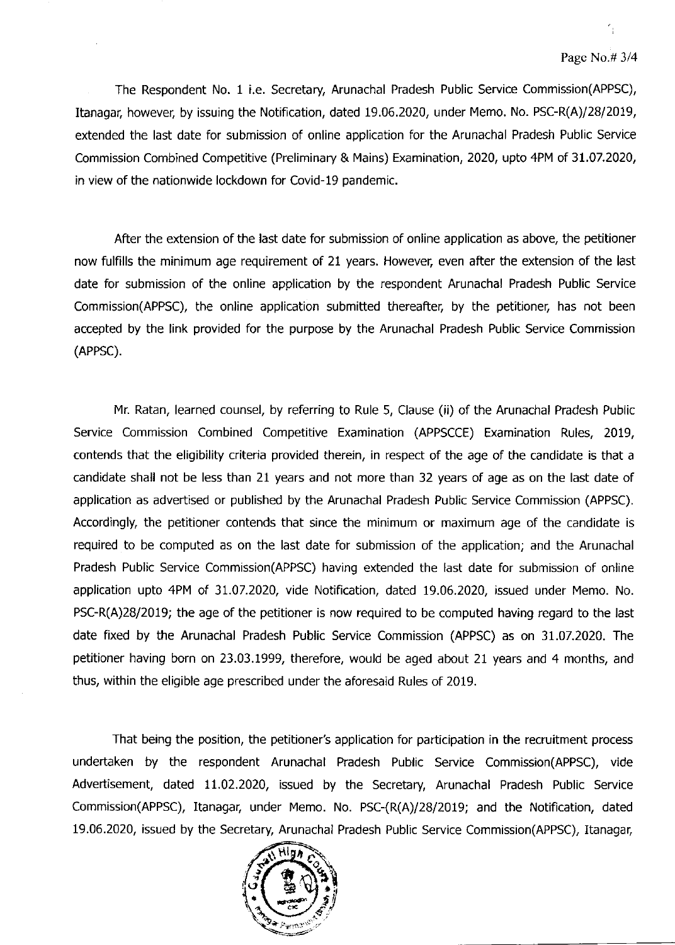The Respondent No. 1 i.e. Secretary, Arunachal Pradesh Public Service Commission(APPSC), Itanagar, however, by issuing the Notification, dated 19.06.2020, under Memo. No. PSC-R(A)/28/2019, extended the last date for submission of online application for the Arunachal Pradesh Public Service Commission Combined Competitive (Preliminary & Mains) Examination, 2020, upto 4PM of 31.07.2020, in view of the nationwide lockdown for Covid-19 pandemic.

After the extension of the last date for submission of online application as above, the petitioner now fulfills the minimum age requirement of 21 years. However, even after the extension of the last date for submission of the online application by the respondent Arunachal Pradesh Public Service Commission(APPSC), the online application submitted thereafter, by the petitioner, has not been accepted by the link provided for the purpose by the Arunachal Pradesh Public Service Commission (APPsc).

Mr. Ratan, learned counsel, by referring to Rule 5, Clause (ii) of the Arunachal Pradesh Public Service Commission Combined Competitive Examination (APPSCCE) Examination Rules, 2019, contends that the eligibility criteria provided therein, in respect of the age of the candidate is that a candidate shall not be less than 21 years and not more than 32 years of age as on the last date of application as advertised or published by the Arunachal Pradesh Public Service Commission (APPSC). Accordingly. the petitioner contends that since the minimum or maximum age of the candidate is required to be computed as on the last date for submission of the application; and the Arunachal Pradesh Public Service Commission(APPSC) having extended the last date for submission of online application upto 4PM of 31.07.2020, vide Notification, dated 19.06.2020, issued under Memo. No. PSC-R(A)28/2019; the age of the petitioner is now required to be computed having regard to the last date fixed by the Arunachal Pradesh Public Service Commission (APPSC) as on 31.07.2020. The petitioner having born on 23.03.1999, therefore, would be aged about 21 years and 4 months, and thus, within the eligible age prescribed under the aforesaid Rules of 2019.

That being the position, the petitioner's application for participation in the recruitment process undertaken by the respondent Arunachal Pradesh Public Service Commission(APPSC), vide Advertisement, dated 11.02.2020, issued by the Secretary, Arunachal Pradesh Public Service Commission(APPsc), Itanagar, under Memo. No. PSC-(R(A)/28/2019; and the Notification, dated 19.06.2020, issued by the Secretary, Arunachal Pradesh Public Service Commission(APPSC), Itanagar,